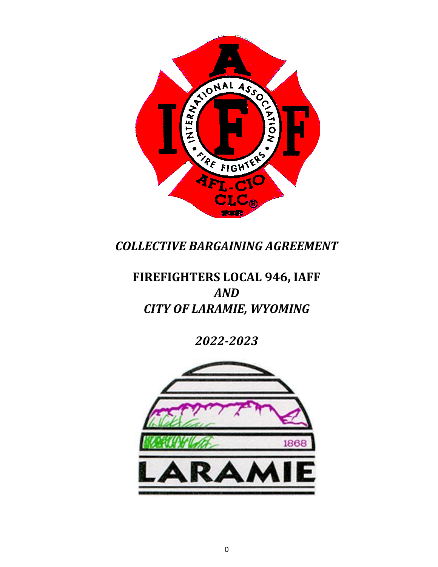

*COLLECTIVE BARGAINING AGREEMENT*

# **FIREFIGHTERS LOCAL 946, IAFF** *AND CITY OF LARAMIE, WYOMING*

*2022-2023*

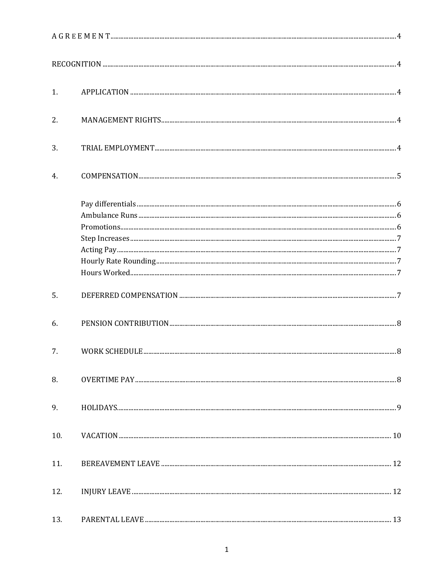| 1.  |                              |    |  |  |  |
|-----|------------------------------|----|--|--|--|
| 2.  |                              |    |  |  |  |
| 3.  |                              |    |  |  |  |
| 4.  |                              |    |  |  |  |
|     | $Promotions\,a href="#">3.6$ |    |  |  |  |
|     |                              |    |  |  |  |
| 5.  |                              |    |  |  |  |
| 6.  |                              |    |  |  |  |
| 7.  | WORK SCHEDULE.               | .8 |  |  |  |
| 8.  |                              |    |  |  |  |
| 9.  |                              |    |  |  |  |
| 10. |                              |    |  |  |  |
| 11. |                              |    |  |  |  |
| 12. |                              |    |  |  |  |
| 13. |                              |    |  |  |  |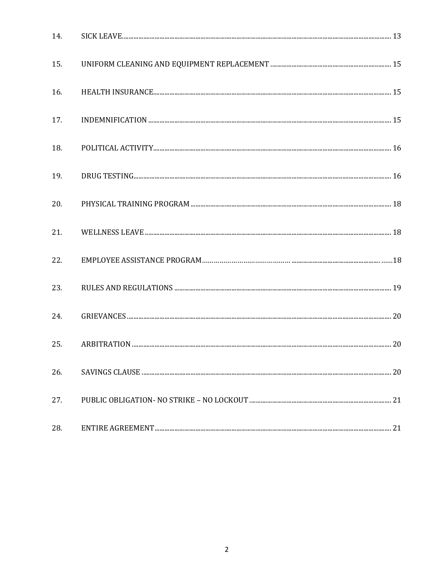| 14. |  |
|-----|--|
| 15. |  |
| 16. |  |
| 17. |  |
| 18. |  |
| 19. |  |
| 20. |  |
| 21. |  |
| 22. |  |
| 23. |  |
| 24. |  |
| 25. |  |
| 26. |  |
| 27. |  |
| 28. |  |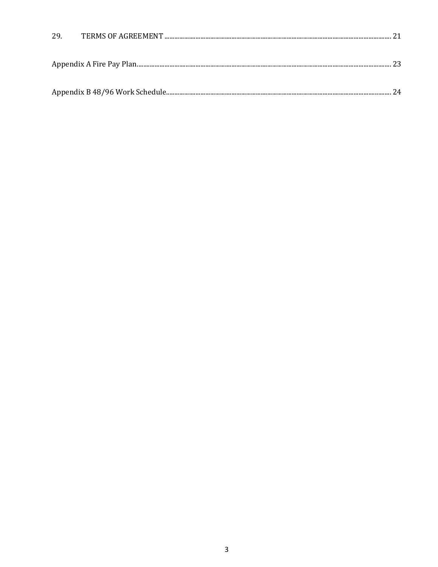<span id="page-3-0"></span>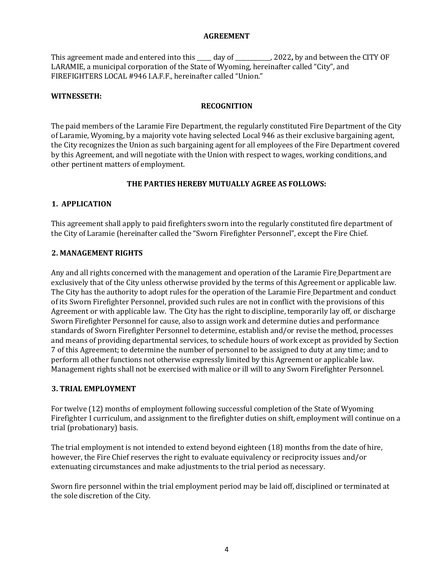#### **AGREEMENT**

This agreement made and entered into this \_\_\_\_\_ day of \_\_\_\_\_\_\_\_\_\_\_\_, 2022**,** by and between the CITY OF LARAMIE, a municipal corporation of the State of Wyoming, hereinafter called "City", and FIREFIGHTERS LOCAL #946 I.A.F.F., hereinafter called "Union."

#### <span id="page-4-0"></span>**WITNESSETH:**

## **RECOGNITION**

The paid members of the Laramie Fire Department, the regularly constituted Fire Department of the City of Laramie, Wyoming, by a majority vote having selected Local 946 as their exclusive bargaining agent, the City recognizes the Union as such bargaining agent for all employees of the Fire Department covered by this Agreement, and will negotiate with the Union with respect to wages, working conditions, and other pertinent matters of employment.

## **THE PARTIES HEREBY MUTUALLY AGREE AS FOLLOWS:**

#### <span id="page-4-1"></span>**1. APPLICATION**

This agreement shall apply to paid firefighters sworn into the regularly constituted fire department of the City of Laramie (hereinafter called the "Sworn Firefighter Personnel", except the Fire Chief.

#### <span id="page-4-2"></span>**2. MANAGEMENT RIGHTS**

Any and all rights concerned with the management and operation of the Laramie Fire Department are exclusively that of the City unless otherwise provided by the terms of this Agreement or applicable law. The City has the authority to adopt rules for the operation of the Laramie Fire Department and conduct of its Sworn Firefighter Personnel, provided such rules are not in conflict with the provisions of this Agreement or with applicable law. The City has the right to discipline, temporarily lay off, or discharge Sworn Firefighter Personnel for cause, also to assign work and determine duties and performance standards of Sworn Firefighter Personnel to determine, establish and/or revise the method, processes and means of providing departmental services, to schedule hours of work except as provided by Section 7 of this Agreement; to determine the number of personnel to be assigned to duty at any time; and to perform all other functions not otherwise expressly limited by this Agreement or applicable law. Management rights shall not be exercised with malice or ill will to any Sworn Firefighter Personnel.

#### <span id="page-4-3"></span>**3. TRIAL EMPLOYMENT**

For twelve (12) months of employment following successful completion of the State of Wyoming Firefighter I curriculum, and assignment to the firefighter duties on shift, employment will continue on a trial (probationary) basis.

The trial employment is not intended to extend beyond eighteen (18) months from the date of hire, however, the Fire Chief reserves the right to evaluate equivalency or reciprocity issues and/or extenuating circumstances and make adjustments to the trial period as necessary.

Sworn fire personnel within the trial employment period may be laid off, disciplined or terminated at the sole discretion of the City.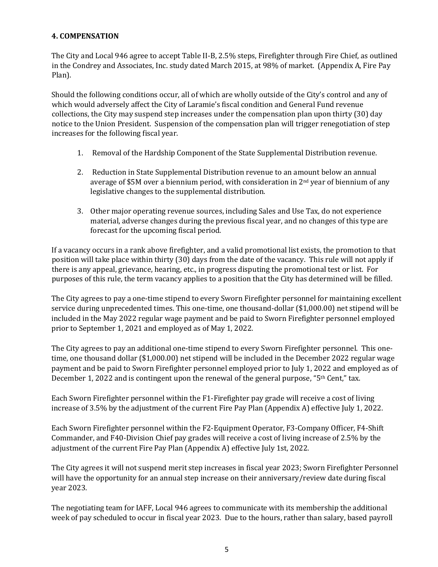## <span id="page-5-0"></span>**4. COMPENSATION**

The City and Local 946 agree to accept Table II-B, 2.5% steps, Firefighter through Fire Chief, as outlined in the Condrey and Associates, Inc. study dated March 2015, at 98% of market. (Appendix A, Fire Pay Plan).

Should the following conditions occur, all of which are wholly outside of the City's control and any of which would adversely affect the City of Laramie's fiscal condition and General Fund revenue collections, the City may suspend step increases under the compensation plan upon thirty (30) day notice to the Union President. Suspension of the compensation plan will trigger renegotiation of step increases for the following fiscal year.

- 1. Removal of the Hardship Component of the State Supplemental Distribution revenue.
- 2. Reduction in State Supplemental Distribution revenue to an amount below an annual average of \$5M over a biennium period, with consideration in 2nd year of biennium of any legislative changes to the supplemental distribution.
- 3. Other major operating revenue sources, including Sales and Use Tax, do not experience material, adverse changes during the previous fiscal year, and no changes of this type are forecast for the upcoming fiscal period.

If a vacancy occurs in a rank above firefighter, and a valid promotional list exists, the promotion to that position will take place within thirty (30) days from the date of the vacancy. This rule will not apply if there is any appeal, grievance, hearing, etc., in progress disputing the promotional test or list. For purposes of this rule, the term vacancy applies to a position that the City has determined will be filled.

The City agrees to pay a one-time stipend to every Sworn Firefighter personnel for maintaining excellent service during unprecedented times. This one-time, one thousand-dollar (\$1,000.00) net stipend will be included in the May 2022 regular wage payment and be paid to Sworn Firefighter personnel employed prior to September 1, 2021 and employed as of May 1, 2022.

The City agrees to pay an additional one-time stipend to every Sworn Firefighter personnel. This onetime, one thousand dollar (\$1,000.00) net stipend will be included in the December 2022 regular wage payment and be paid to Sworn Firefighter personnel employed prior to July 1, 2022 and employed as of December 1, 2022 and is contingent upon the renewal of the general purpose, "5<sup>th</sup> Cent," tax.

Each Sworn Firefighter personnel within the F1-Firefighter pay grade will receive a cost of living increase of 3.5% by the adjustment of the current Fire Pay Plan (Appendix A) effective July 1, 2022.

Each Sworn Firefighter personnel within the F2-Equipment Operator, F3-Company Officer, F4-Shift Commander, and F40-Division Chief pay grades will receive a cost of living increase of 2.5% by the adjustment of the current Fire Pay Plan (Appendix A) effective July 1st, 2022.

The City agrees it will not suspend merit step increases in fiscal year 2023; Sworn Firefighter Personnel will have the opportunity for an annual step increase on their anniversary/review date during fiscal year 2023.

The negotiating team for IAFF, Local 946 agrees to communicate with its membership the additional week of pay scheduled to occur in fiscal year 2023. Due to the hours, rather than salary, based payroll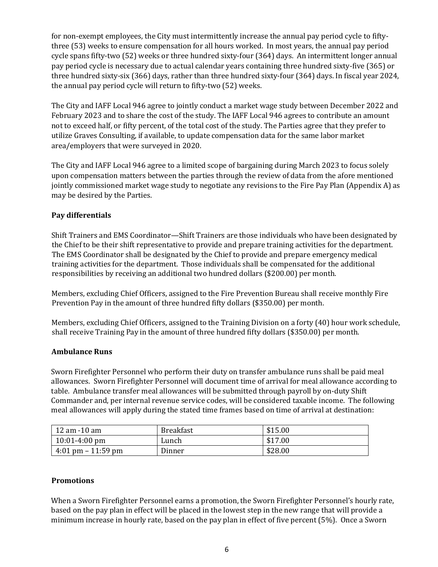for non-exempt employees, the City must intermittently increase the annual pay period cycle to fiftythree (53) weeks to ensure compensation for all hours worked. In most years, the annual pay period cycle spans fifty-two (52) weeks or three hundred sixty-four (364) days. An intermittent longer annual pay period cycle is necessary due to actual calendar years containing three hundred sixty-five (365) or three hundred sixty-six (366) days, rather than three hundred sixty-four (364) days. In fiscal year 2024, the annual pay period cycle will return to fifty-two (52) weeks.

The City and IAFF Local 946 agree to jointly conduct a market wage study between December 2022 and February 2023 and to share the cost of the study. The IAFF Local 946 agrees to contribute an amount not to exceed half, or fifty percent, of the total cost of the study. The Parties agree that they prefer to utilize Graves Consulting, if available, to update compensation data for the same labor market area/employers that were surveyed in 2020.

The City and IAFF Local 946 agree to a limited scope of bargaining during March 2023 to focus solely upon compensation matters between the parties through the review of data from the afore mentioned jointly commissioned market wage study to negotiate any revisions to the Fire Pay Plan (Appendix A) as may be desired by the Parties.

## <span id="page-6-0"></span>**Pay differentials**

Shift Trainers and EMS Coordinator—Shift Trainers are those individuals who have been designated by the Chief to be their shift representative to provide and prepare training activities for the department. The EMS Coordinator shall be designated by the Chief to provide and prepare emergency medical training activities for the department. Those individuals shall be compensated for the additional responsibilities by receiving an additional two hundred dollars (\$200.00) per month.

Members, excluding Chief Officers, assigned to the Fire Prevention Bureau shall receive monthly Fire Prevention Pay in the amount of three hundred fifty dollars (\$350.00) per month.

Members, excluding Chief Officers, assigned to the Training Division on a forty (40) hour work schedule, shall receive Training Pay in the amount of three hundred fifty dollars (\$350.00) per month.

## <span id="page-6-1"></span>**Ambulance Runs**

Sworn Firefighter Personnel who perform their duty on transfer ambulance runs shall be paid meal allowances. Sworn Firefighter Personnel will document time of arrival for meal allowance according to table. Ambulance transfer meal allowances will be submitted through payroll by on-duty Shift Commander and, per internal revenue service codes, will be considered taxable income. The following meal allowances will apply during the stated time frames based on time of arrival at destination:

| 12 am -10 am                                  | <b>Breakfast</b> | \$15.00 |
|-----------------------------------------------|------------------|---------|
| $10:01-4:00$ pm                               | Lunch            | \$17.00 |
| $\frac{4:01 \text{ pm} - 11:59 \text{ pm}}{}$ | Dinner           | \$28.00 |

# <span id="page-6-2"></span>**Promotions**

When a Sworn Firefighter Personnel earns a promotion, the Sworn Firefighter Personnel's hourly rate, based on the pay plan in effect will be placed in the lowest step in the new range that will provide a minimum increase in hourly rate, based on the pay plan in effect of five percent (5%). Once a Sworn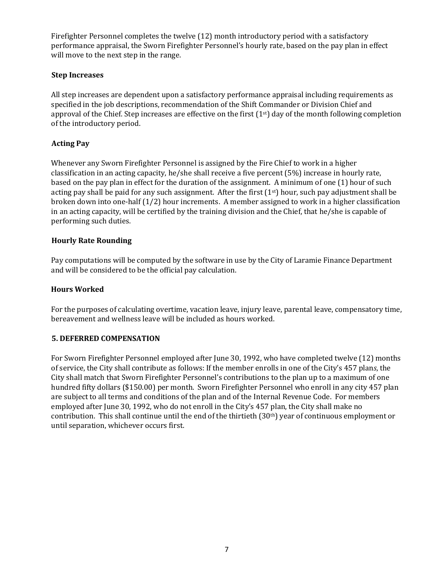Firefighter Personnel completes the twelve (12) month introductory period with a satisfactory performance appraisal, the Sworn Firefighter Personnel's hourly rate, based on the pay plan in effect will move to the next step in the range.

## <span id="page-7-0"></span>**Step Increases**

All step increases are dependent upon a satisfactory performance appraisal including requirements as specified in the job descriptions, recommendation of the Shift Commander or Division Chief and approval of the Chief. Step increases are effective on the first  $(1<sup>st</sup>)$  day of the month following completion of the introductory period.

# <span id="page-7-1"></span>**Acting Pay**

Whenever any Sworn Firefighter Personnel is assigned by the Fire Chief to work in a higher classification in an acting capacity, he/she shall receive a five percent (5%) increase in hourly rate, based on the pay plan in effect for the duration of the assignment. A minimum of one (1) hour of such acting pay shall be paid for any such assignment. After the first  $(1<sup>st</sup>)$  hour, such pay adjustment shall be broken down into one-half (1/2) hour increments. A member assigned to work in a higher classification in an acting capacity, will be certified by the training division and the Chief, that he/she is capable of performing such duties.

## <span id="page-7-2"></span>**Hourly Rate Rounding**

Pay computations will be computed by the software in use by the City of Laramie Finance Department and will be considered to be the official pay calculation.

## **Hours Worked**

For the purposes of calculating overtime, vacation leave, injury leave, parental leave, compensatory time, bereavement and wellness leave will be included as hours worked.

## <span id="page-7-3"></span>**5. DEFERRED COMPENSATION**

For Sworn Firefighter Personnel employed after June 30, 1992, who have completed twelve (12) months of service, the City shall contribute as follows: If the member enrolls in one of the City's 457 plan*s*, the City shall match that Sworn Firefighter Personnel's contributions to the plan up to a maximum of one hundred fifty dollars (\$150.00) per month. Sworn Firefighter Personnel who enroll in any city 457 plan are subject to all terms and conditions of the plan and of the Internal Revenue Code. For members employed after June 30, 1992, who do not enroll in the City's 457 plan, the City shall make no contribution. This shall continue until the end of the thirtieth (30th) year of continuous employment or until separation, whichever occurs first.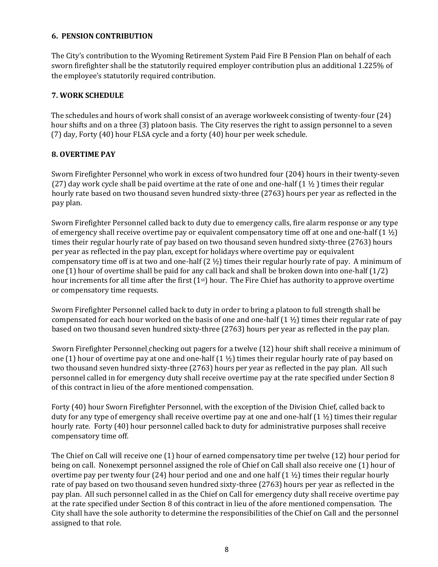## <span id="page-8-0"></span>**6. PENSION CONTRIBUTION**

The City's contribution to the Wyoming Retirement System Paid Fire B Pension Plan on behalf of each sworn firefighter shall be the statutorily required employer contribution plus an additional 1.225% of the employee's statutorily required contribution.

## <span id="page-8-1"></span>**7. WORK SCHEDULE**

The schedules and hours of work shall consist of an average workweek consisting of twenty-four (24) hour shifts and on a three (3) platoon basis. The City reserves the right to assign personnel to a seven (7) day, Forty (40) hour FLSA cycle and a forty (40) hour per week schedule.

## <span id="page-8-2"></span>**8. OVERTIME PAY**

Sworn Firefighter Personnel who work in excess of two hundred four (204) hours in their twenty-seven (27) day work cycle shall be paid overtime at the rate of one and one-half  $(1 \frac{1}{2})$  times their regular hourly rate based on two thousand seven hundred sixty-three (2763) hours per year as reflected in the pay plan.

Sworn Firefighter Personnel called back to duty due to emergency calls, fire alarm response or any type of emergency shall receive overtime pay or equivalent compensatory time off at one and one-half  $(1 \frac{1}{2})$ times their regular hourly rate of pay based on two thousand seven hundred sixty-three (2763) hours per year as reflected in the pay plan, except for holidays where overtime pay or equivalent compensatory time off is at two and one-half (2 ½) times their regular hourly rate of pay. A minimum of one (1) hour of overtime shall be paid for any call back and shall be broken down into one-half (1/2) hour increments for all time after the first  $(1<sup>st</sup>)$  hour. The Fire Chief has authority to approve overtime or compensatory time requests.

Sworn Firefighter Personnel called back to duty in order to bring a platoon to full strength shall be compensated for each hour worked on the basis of one and one-half  $(1 \frac{1}{2})$  times their regular rate of pay based on two thousand seven hundred sixty-three (2763) hours per year as reflected in the pay plan.

Sworn Firefighter Personnel checking out pagers for a twelve (12) hour shift shall receive a minimum of one (1) hour of overtime pay at one and one-half  $(1 \frac{1}{2})$  times their regular hourly rate of pay based on two thousand seven hundred sixty-three (2763) hours per year as reflected in the pay plan. All such personnel called in for emergency duty shall receive overtime pay at the rate specified under Section 8 of this contract in lieu of the afore mentioned compensation.

Forty (40) hour Sworn Firefighter Personnel, with the exception of the Division Chief, called back to duty for any type of emergency shall receive overtime pay at one and one-half  $(1 \frac{1}{2})$  times their regular hourly rate. Forty (40) hour personnel called back to duty for administrative purposes shall receive compensatory time off.

The Chief on Call will receive one (1) hour of earned compensatory time per twelve (12) hour period for being on call. Nonexempt personnel assigned the role of Chief on Call shall also receive one (1) hour of overtime pay per twenty four (24) hour period and one and one half  $(1 1/2)$  times their regular hourly rate of pay based on two thousand seven hundred sixty-three (2763) hours per year as reflected in the pay plan. All such personnel called in as the Chief on Call for emergency duty shall receive overtime pay at the rate specified under Section 8 of this contract in lieu of the afore mentioned compensation. The City shall have the sole authority to determine the responsibilities of the Chief on Call and the personnel assigned to that role.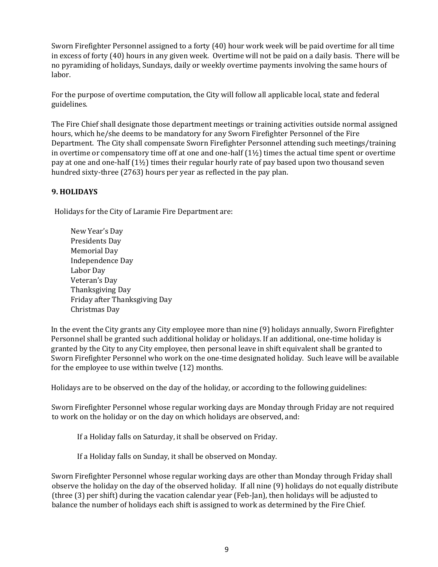Sworn Firefighter Personnel assigned to a forty (40) hour work week will be paid overtime for all time in excess of forty (40) hours in any given week. Overtime will not be paid on a daily basis. There will be no pyramiding of holidays, Sundays, daily or weekly overtime payments involving the same hours of labor.

For the purpose of overtime computation, the City will follow all applicable local, state and federal guidelines.

The Fire Chief shall designate those department meetings or training activities outside normal assigned hours, which he/she deems to be mandatory for any Sworn Firefighter Personnel of the Fire Department. The City shall compensate Sworn Firefighter Personnel attending such meetings/training in overtime or compensatory time off at one and one-half  $(1\frac{1}{2})$  times the actual time spent or overtime pay at one and one-half (1½) times their regular hourly rate of pay based upon two thousand seven hundred sixty-three (2763) hours per year as reflected in the pay plan.

## <span id="page-9-0"></span>**9. HOLIDAYS**

Holidays for the City of Laramie Fire Department are:

New Year's Day Presidents Day Memorial Day Independence Day Labor Day Veteran's Day Thanksgiving Day Friday after Thanksgiving Day Christmas Day

In the event the City grants any City employee more than nine (9) holidays annually, Sworn Firefighter Personnel shall be granted such additional holiday or holidays. If an additional, one-time holiday is granted by the City to any City employee, then personal leave in shift equivalent shall be granted to Sworn Firefighter Personnel who work on the one-time designated holiday. Such leave will be available for the employee to use within twelve (12) months.

Holidays are to be observed on the day of the holiday, or according to the following guidelines:

Sworn Firefighter Personnel whose regular working days are Monday through Friday are not required to work on the holiday or on the day on which holidays are observed, and:

If a Holiday falls on Saturday, it shall be observed on Friday.

If a Holiday falls on Sunday, it shall be observed on Monday.

Sworn Firefighter Personnel whose regular working days are other than Monday through Friday shall observe the holiday on the day of the observed holiday. If all nine (9) holidays do not equally distribute (three (3) per shift) during the vacation calendar year (Feb-Jan), then holidays will be adjusted to balance the number of holidays each shift is assigned to work as determined by the Fire Chief.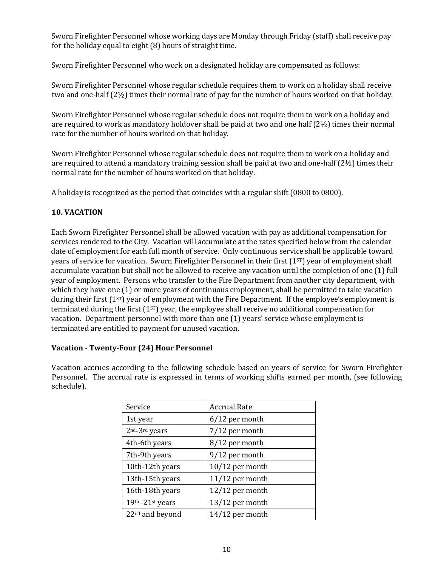Sworn Firefighter Personnel whose working days are Monday through Friday (staff) shall receive pay for the holiday equal to eight (8) hours of straight time.

Sworn Firefighter Personnel who work on a designated holiday are compensated as follows:

Sworn Firefighter Personnel whose regular schedule requires them to work on a holiday shall receive two and one-half (2½) times their normal rate of pay for the number of hours worked on that holiday.

Sworn Firefighter Personnel whose regular schedule does not require them to work on a holiday and are required to work as mandatory holdover shall be paid at two and one half  $(2\frac{1}{2})$  times their normal rate for the number of hours worked on that holiday.

Sworn Firefighter Personnel whose regular schedule does not require them to work on a holiday and are required to attend a mandatory training session shall be paid at two and one-half (2½) times their normal rate for the number of hours worked on that holiday.

A holiday is recognized as the period that coincides with a regular shift (0800 to 0800).

## <span id="page-10-0"></span>**10. VACATION**

Each Sworn Firefighter Personnel shall be allowed vacation with pay as additional compensation for services rendered to the City. Vacation will accumulate at the rates specified below from the calendar date of employment for each full month of service. Only continuous service shall be applicable toward years of service for vacation. Sworn Firefighter Personnel in their first  $(1<sup>ST</sup>)$  year of employment shall accumulate vacation but shall not be allowed to receive any vacation until the completion of one (1) full year of employment. Persons who transfer to the Fire Department from another city department, with which they have one (1) or more years of continuous employment, shall be permitted to take vacation during their first (1<sup>st</sup>) year of employment with the Fire Department. If the employee's employment is terminated during the first (1<sup>sr</sup>) year, the employee shall receive no additional compensation for vacation. Department personnel with more than one (1) years' service whose employment is terminated are entitled to payment for unused vacation.

## **Vacation - Twenty-Four (24) Hour Personnel**

Vacation accrues according to the following schedule based on years of service for Sworn Firefighter Personnel. The accrual rate is expressed in terms of working shifts earned per month, (see following schedule).

| Service                     | <b>Accrual Rate</b> |
|-----------------------------|---------------------|
| 1st year                    | $6/12$ per month    |
| 2nd <sub>-3rd</sub> years   | 7/12 per month      |
| 4th-6th years               | 8/12 per month      |
| 7th-9th years               | 9/12 per month      |
| 10th-12th years             | $10/12$ per month   |
| 13th-15th years             | 11/12 per month     |
| 16th-18th years             | $12/12$ per month   |
| 19th-21st years             | 13/12 per month     |
| 22 <sup>nd</sup> and beyond | 14/12 per month     |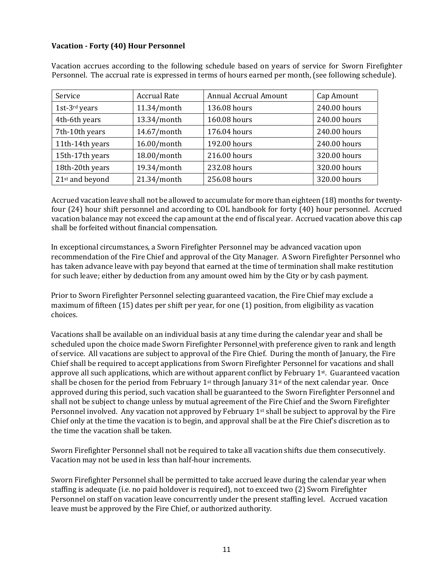## **Vacation - Forty (40) Hour Personnel**

| Service         | <b>Accrual Rate</b> | <b>Annual Accrual Amount</b> | Cap Amount   |  |  |
|-----------------|---------------------|------------------------------|--------------|--|--|
| 1st-3rd years   | 11.34/month         | 136.08 hours                 | 240.00 hours |  |  |
| 4th-6th years   | 13.34/month         | 160.08 hours                 | 240.00 hours |  |  |
| 7th-10th years  | 14.67/month         | 176.04 hours                 | 240.00 hours |  |  |
| 11th-14th years | 16.00/month         | 192.00 hours                 | 240.00 hours |  |  |
| 15th-17th years | 18.00/month         | 216.00 hours                 | 320.00 hours |  |  |
| 18th-20th years | 19.34/month         | 232.08 hours                 | 320.00 hours |  |  |
| 21st and beyond | 21.34/month         | 256.08 hours                 | 320.00 hours |  |  |

Vacation accrues according to the following schedule based on years of service for Sworn Firefighter Personnel. The accrual rate is expressed in terms of hours earned per month, (see following schedule).

Accrued vacation leave shall not be allowed to accumulate for more than eighteen (18) months for twentyfour (24) hour shift personnel and according to COL handbook for forty (40) hour personnel. Accrued vacation balance may not exceed the cap amount at the end of fiscal year. Accrued vacation above this cap shall be forfeited without financial compensation.

In exceptional circumstances, a Sworn Firefighter Personnel may be advanced vacation upon recommendation of the Fire Chief and approval of the City Manager. A Sworn Firefighter Personnel who has taken advance leave with pay beyond that earned at the time of termination shall make restitution for such leave; either by deduction from any amount owed him by the City or by cash payment.

Prior to Sworn Firefighter Personnel selecting guaranteed vacation, the Fire Chief may exclude a maximum of fifteen (15) dates per shift per year, for one (1) position, from eligibility as vacation choices.

Vacations shall be available on an individual basis at any time during the calendar year and shall be scheduled upon the choice made Sworn Firefighter Personnel with preference given to rank and length of service. All vacations are subject to approval of the Fire Chief. During the month of January, the Fire Chief shall be required to accept applications from Sworn Firefighter Personnel for vacations and shall approve all such applications, which are without apparent conflict by February 1st. Guaranteed vacation shall be chosen for the period from February 1<sup>st</sup> through January 31<sup>st</sup> of the next calendar year. Once approved during this period, such vacation shall be guaranteed to the Sworn Firefighter Personnel and shall not be subject to change unless by mutual agreement of the Fire Chief and the Sworn Firefighter Personnel involved. Any vacation not approved by February 1st shall be subject to approval by the Fire Chief only at the time the vacation is to begin, and approval shall be at the Fire Chief's discretion as to the time the vacation shall be taken.

Sworn Firefighter Personnel shall not be required to take all vacation shifts due them consecutively. Vacation may not be used in less than half-hour increments.

Sworn Firefighter Personnel shall be permitted to take accrued leave during the calendar year when staffing is adequate (i.e. no paid holdover is required), not to exceed two (2) Sworn Firefighter Personnel on staff on vacation leave concurrently under the present staffing level. Accrued vacation leave must be approved by the Fire Chief, or authorized authority.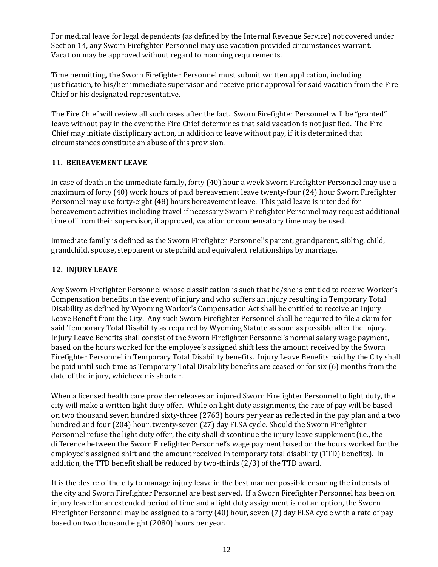For medical leave for legal dependents (as defined by the Internal Revenue Service) not covered under Section 14, any Sworn Firefighter Personnel may use vacation provided circumstances warrant. Vacation may be approved without regard to manning requirements.

Time permitting, the Sworn Firefighter Personnel must submit written application, including justification, to his/her immediate supervisor and receive prior approval for said vacation from the Fire Chief or his designated representative.

The Fire Chief will review all such cases after the fact. Sworn Firefighter Personnel will be "granted" leave without pay in the event the Fire Chief determines that said vacation is not justified. The Fire Chief may initiate disciplinary action, in addition to leave without pay, if it is determined that circumstances constitute an abuse of this provision.

## <span id="page-12-0"></span>**11. BEREAVEMENT LEAVE**

In case of death in the immediate family**,** forty **(**40) hour a week Sworn Firefighter Personnel may use a maximum of forty (40) work hours of paid bereavement leave twenty-four (24) hour Sworn Firefighter Personnel may use forty-eight (48) hours bereavement leave. This paid leave is intended for bereavement activities including travel if necessary Sworn Firefighter Personnel may request additional time off from their supervisor, if approved, vacation or compensatory time may be used.

Immediate family is defined as the Sworn Firefighter Personnel's parent, grandparent, sibling, child, grandchild, spouse, stepparent or stepchild and equivalent relationships by marriage.

# <span id="page-12-1"></span>**12. INJURY LEAVE**

Any Sworn Firefighter Personnel whose classification is such that he/she is entitled to receive Worker's Compensation benefits in the event of injury and who suffers an injury resulting in Temporary Total Disability as defined by Wyoming Worker's Compensation Act shall be entitled to receive an Injury Leave Benefit from the City. Any such Sworn Firefighter Personnel shall be required to file a claim for said Temporary Total Disability as required by Wyoming Statute as soon as possible after the injury. Injury Leave Benefits shall consist of the Sworn Firefighter Personnel's normal salary wage payment, based on the hours worked for the employee's assigned shift less the amount received by the Sworn Firefighter Personnel in Temporary Total Disability benefits. Injury Leave Benefits paid by the City shall be paid until such time as Temporary Total Disability benefits are ceased or for six (6) months from the date of the injury, whichever is shorter.

When a licensed health care provider releases an injured Sworn Firefighter Personnel to light duty, the city will make a written light duty offer. While on light duty assignments, the rate of pay will be based on two thousand seven hundred sixty-three (2763) hours per year as reflected in the pay plan and a two hundred and four (204) hour, twenty-seven (27) day FLSA cycle. Should the Sworn Firefighter Personnel refuse the light duty offer, the city shall discontinue the injury leave supplement (i.e., the difference between the Sworn Firefighter Personnel's wage payment based on the hours worked for the employee's assigned shift and the amount received in temporary total disability (TTD) benefits). In addition, the TTD benefit shall be reduced by two-thirds (2/3) of the TTD award.

It is the desire of the city to manage injury leave in the best manner possible ensuring the interests of the city and Sworn Firefighter Personnel are best served. If a Sworn Firefighter Personnel has been on injury leave for an extended period of time and a light duty assignment is not an option, the Sworn Firefighter Personnel may be assigned to a forty (40) hour, seven (7) day FLSA cycle with a rate of pay based on two thousand eight (2080) hours per year.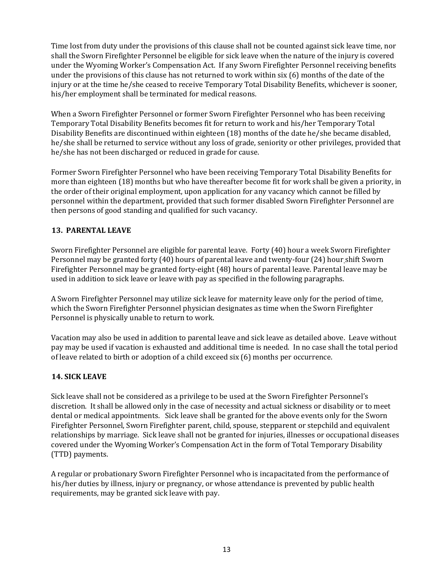Time lost from duty under the provisions of this clause shall not be counted against sick leave time, nor shall the Sworn Firefighter Personnel be eligible for sick leave when the nature of the injury is covered under the Wyoming Worker's Compensation Act. If any Sworn Firefighter Personnel receiving benefits under the provisions of this clause has not returned to work within six (6) months of the date of the injury or at the time he/she ceased to receive Temporary Total Disability Benefits, whichever is sooner, his/her employment shall be terminated for medical reasons.

When a Sworn Firefighter Personnel or former Sworn Firefighter Personnel who has been receiving Temporary Total Disability Benefits becomes fit for return to work and his/her Temporary Total Disability Benefits are discontinued within eighteen (18) months of the date he/she became disabled, he/she shall be returned to service without any loss of grade, seniority or other privileges, provided that he/she has not been discharged or reduced in grade for cause.

Former Sworn Firefighter Personnel who have been receiving Temporary Total Disability Benefits for more than eighteen (18) months but who have thereafter become fit for work shall be given a priority, in the order of their original employment, upon application for any vacancy which cannot be filled by personnel within the department, provided that such former disabled Sworn Firefighter Personnel are then persons of good standing and qualified for such vacancy.

# <span id="page-13-0"></span>**13. PARENTAL LEAVE**

Sworn Firefighter Personnel are eligible for parental leave. Forty (40) hour a week Sworn Firefighter Personnel may be granted forty (40) hours of parental leave and twenty-four (24) hour shift Sworn Firefighter Personnel may be granted forty-eight (48) hours of parental leave. Parental leave may be used in addition to sick leave or leave with pay as specified in the following paragraphs.

A Sworn Firefighter Personnel may utilize sick leave for maternity leave only for the period of time, which the Sworn Firefighter Personnel physician designates as time when the Sworn Firefighter Personnel is physically unable to return to work.

Vacation may also be used in addition to parental leave and sick leave as detailed above. Leave without pay may be used if vacation is exhausted and additional time is needed. In no case shall the total period of leave related to birth or adoption of a child exceed six (6) months per occurrence.

## <span id="page-13-1"></span>**14. SICK LEAVE**

Sick leave shall not be considered as a privilege to be used at the Sworn Firefighter Personnel's discretion. It shall be allowed only in the case of necessity and actual sickness or disability or to meet dental or medical appointments. Sick leave shall be granted for the above events only for the Sworn Firefighter Personnel, Sworn Firefighter parent, child, spouse, stepparent or stepchild and equivalent relationships by marriage. Sick leave shall not be granted for injuries, illnesses or occupational diseases covered under the Wyoming Worker's Compensation Act in the form of Total Temporary Disability (TTD) payments.

A regular or probationary Sworn Firefighter Personnel who is incapacitated from the performance of his/her duties by illness, injury or pregnancy, or whose attendance is prevented by public health requirements, may be granted sick leave with pay.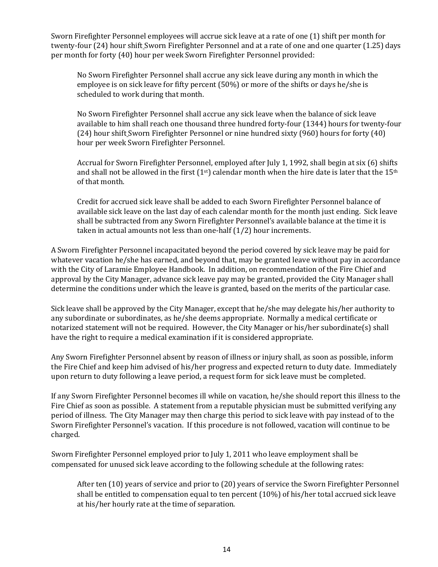Sworn Firefighter Personnel employees will accrue sick leave at a rate of one (1) shift per month for twenty-four (24) hour shift Sworn Firefighter Personnel and at a rate of one and one quarter (1.25) days per month for forty (40) hour per week Sworn Firefighter Personnel provided:

No Sworn Firefighter Personnel shall accrue any sick leave during any month in which the employee is on sick leave for fifty percent (50%) or more of the shifts or days he/she is scheduled to work during that month.

No Sworn Firefighter Personnel shall accrue any sick leave when the balance of sick leave available to him shall reach one thousand three hundred forty-four (1344) hours for twenty-four (24) hour shift Sworn Firefighter Personnel or nine hundred sixty (960) hours for forty (40) hour per week Sworn Firefighter Personnel.

Accrual for Sworn Firefighter Personnel, employed after July 1, 1992, shall begin at six (6) shifts and shall not be allowed in the first  $(1<sup>st</sup>)$  calendar month when the hire date is later that the  $15<sup>th</sup>$ of that month.

Credit for accrued sick leave shall be added to each Sworn Firefighter Personnel balance of available sick leave on the last day of each calendar month for the month just ending. Sick leave shall be subtracted from any Sworn Firefighter Personnel's available balance at the time it is taken in actual amounts not less than one-half (1/2) hour increments.

A Sworn Firefighter Personnel incapacitated beyond the period covered by sick leave may be paid for whatever vacation he/she has earned, and beyond that, may be granted leave without pay in accordance with the City of Laramie Employee Handbook. In addition, on recommendation of the Fire Chief and approval by the City Manager, advance sick leave pay may be granted, provided the City Manager shall determine the conditions under which the leave is granted, based on the merits of the particular case.

Sick leave shall be approved by the City Manager, except that he/she may delegate his/her authority to any subordinate or subordinates, as he/she deems appropriate. Normally a medical certificate or notarized statement will not be required. However, the City Manager or his/her subordinate(s) shall have the right to require a medical examination if it is considered appropriate.

Any Sworn Firefighter Personnel absent by reason of illness or injury shall, as soon as possible, inform the Fire Chief and keep him advised of his/her progress and expected return to duty date. Immediately upon return to duty following a leave period, a request form for sick leave must be completed.

If any Sworn Firefighter Personnel becomes ill while on vacation, he/she should report this illness to the Fire Chief as soon as possible. A statement from a reputable physician must be submitted verifying any period of illness. The City Manager may then charge this period to sick leave with pay instead of to the Sworn Firefighter Personnel's vacation. If this procedure is not followed, vacation will continue to be charged.

Sworn Firefighter Personnel employed prior to July 1, 2011 who leave employment shall be compensated for unused sick leave according to the following schedule at the following rates:

After ten (10) years of service and prior to (20) years of service the Sworn Firefighter Personnel shall be entitled to compensation equal to ten percent (10%) of his/her total accrued sick leave at his/her hourly rate at the time of separation.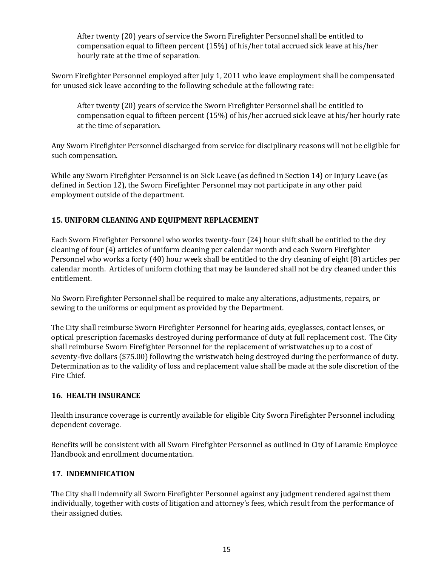After twenty (20) years of service the Sworn Firefighter Personnel shall be entitled to compensation equal to fifteen percent (15%) of his/her total accrued sick leave at his/her hourly rate at the time of separation.

Sworn Firefighter Personnel employed after July 1, 2011 who leave employment shall be compensated for unused sick leave according to the following schedule at the following rate:

After twenty (20) years of service the Sworn Firefighter Personnel shall be entitled to compensation equal to fifteen percent (15%) of his/her accrued sick leave at his/her hourly rate at the time of separation.

Any Sworn Firefighter Personnel discharged from service for disciplinary reasons will not be eligible for such compensation.

While any Sworn Firefighter Personnel is on Sick Leave (as defined in Section 14) or Injury Leave (as defined in Section 12), the Sworn Firefighter Personnel may not participate in any other paid employment outside of the department.

# <span id="page-15-0"></span>**15. UNIFORM CLEANING AND EQUIPMENT REPLACEMENT**

Each Sworn Firefighter Personnel who works twenty-four (24) hour shift shall be entitled to the dry cleaning of four (4) articles of uniform cleaning per calendar month and each Sworn Firefighter Personnel who works a forty (40) hour week shall be entitled to the dry cleaning of eight (8) articles per calendar month. Articles of uniform clothing that may be laundered shall not be dry cleaned under this entitlement.

No Sworn Firefighter Personnel shall be required to make any alterations, adjustments, repairs, or sewing to the uniforms or equipment as provided by the Department.

The City shall reimburse Sworn Firefighter Personnel for hearing aids, eyeglasses, contact lenses, or optical prescription facemasks destroyed during performance of duty at full replacement cost. The City shall reimburse Sworn Firefighter Personnel for the replacement of wristwatches up to a cost of seventy-five dollars (\$75.00) following the wristwatch being destroyed during the performance of duty. Determination as to the validity of loss and replacement value shall be made at the sole discretion of the Fire Chief.

## <span id="page-15-1"></span>**16. HEALTH INSURANCE**

Health insurance coverage is currently available for eligible City Sworn Firefighter Personnel including dependent coverage.

Benefits will be consistent with all Sworn Firefighter Personnel as outlined in City of Laramie Employee Handbook and enrollment documentation.

## <span id="page-15-2"></span>**17. INDEMNIFICATION**

The City shall indemnify all Sworn Firefighter Personnel against any judgment rendered against them individually, together with costs of litigation and attorney's fees, which result from the performance of their assigned duties.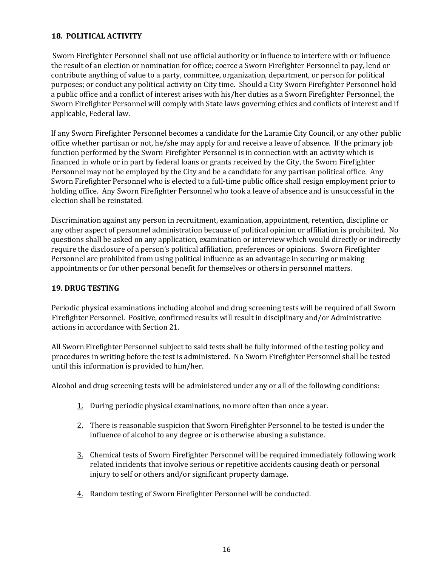## <span id="page-16-0"></span>**18. POLITICAL ACTIVITY**

Sworn Firefighter Personnel shall not use official authority or influence to interfere with or influence the result of an election or nomination for office; coerce a Sworn Firefighter Personnel to pay, lend or contribute anything of value to a party, committee, organization, department, or person for political purposes; or conduct any political activity on City time. Should a City Sworn Firefighter Personnel hold a public office and a conflict of interest arises with his/her duties as a Sworn Firefighter Personnel, the Sworn Firefighter Personnel will comply with State laws governing ethics and conflicts of interest and if applicable, Federal law.

If any Sworn Firefighter Personnel becomes a candidate for the Laramie City Council, or any other public office whether partisan or not, he/she may apply for and receive a leave of absence. If the primary job function performed by the Sworn Firefighter Personnel is in connection with an activity which is financed in whole or in part by federal loans or grants received by the City, the Sworn Firefighter Personnel may not be employed by the City and be a candidate for any partisan political office. Any Sworn Firefighter Personnel who is elected to a full-time public office shall resign employment prior to holding office. Any Sworn Firefighter Personnel who took a leave of absence and is unsuccessful in the election shall be reinstated.

Discrimination against any person in recruitment, examination, appointment, retention, discipline or any other aspect of personnel administration because of political opinion or affiliation is prohibited. No questions shall be asked on any application, examination or interview which would directly or indirectly require the disclosure of a person's political affiliation, preferences or opinions. Sworn Firefighter Personnel are prohibited from using political influence as an advantage in securing or making appointments or for other personal benefit for themselves or others in personnel matters.

## <span id="page-16-1"></span>**19. DRUG TESTING**

Periodic physical examinations including alcohol and drug screening tests will be required of all Sworn Firefighter Personnel. Positive, confirmed results will result in disciplinary and/or Administrative actions in accordance with Section 21.

All Sworn Firefighter Personnel subject to said tests shall be fully informed of the testing policy and procedures in writing before the test is administered. No Sworn Firefighter Personnel shall be tested until this information is provided to him/her.

Alcohol and drug screening tests will be administered under any or all of the following conditions:

- 1. During periodic physical examinations, no more often than once a year.
- 2. There is reasonable suspicion that Sworn Firefighter Personnel to be tested is under the influence of alcohol to any degree or is otherwise abusing a substance.
- 3. Chemical tests of Sworn Firefighter Personnel will be required immediately following work related incidents that involve serious or repetitive accidents causing death or personal injury to self or others and/or significant property damage.
- 4. Random testing of Sworn Firefighter Personnel will be conducted.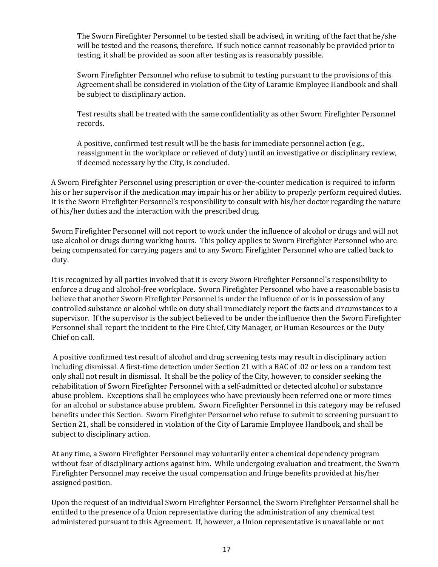The Sworn Firefighter Personnel to be tested shall be advised, in writing, of the fact that he/she will be tested and the reasons, therefore. If such notice cannot reasonably be provided prior to testing, it shall be provided as soon after testing as is reasonably possible.

Sworn Firefighter Personnel who refuse to submit to testing pursuant to the provisions of this Agreement shall be considered in violation of the City of Laramie Employee Handbook and shall be subject to disciplinary action.

Test results shall be treated with the same confidentiality as other Sworn Firefighter Personnel records.

A positive, confirmed test result will be the basis for immediate personnel action (e.g., reassignment in the workplace or relieved of duty) until an investigative or disciplinary review, if deemed necessary by the City, is concluded.

A Sworn Firefighter Personnel using prescription or over-the-counter medication is required to inform his or her supervisor if the medication may impair his or her ability to properly perform required duties. It is the Sworn Firefighter Personnel's responsibility to consult with his/her doctor regarding the nature of his/her duties and the interaction with the prescribed drug.

Sworn Firefighter Personnel will not report to work under the influence of alcohol or drugs and will not use alcohol or drugs during working hours. This policy applies to Sworn Firefighter Personnel who are being compensated for carrying pagers and to any Sworn Firefighter Personnel who are called back to duty.

It is recognized by all parties involved that it is every Sworn Firefighter Personnel's responsibility to enforce a drug and alcohol-free workplace. Sworn Firefighter Personnel who have a reasonable basis to believe that another Sworn Firefighter Personnel is under the influence of or is in possession of any controlled substance or alcohol while on duty shall immediately report the facts and circumstances to a supervisor. If the supervisor is the subject believed to be under the influence then the Sworn Firefighter Personnel shall report the incident to the Fire Chief, City Manager, or Human Resources or the Duty Chief on call.

A positive confirmed test result of alcohol and drug screening tests may result in disciplinary action including dismissal. A first-time detection under Section 21 with a BAC of .02 or less on a random test only shall not result in dismissal. It shall be the policy of the City, however, to consider seeking the rehabilitation of Sworn Firefighter Personnel with a self-admitted or detected alcohol or substance abuse problem. Exceptions shall be employees who have previously been referred one or more times for an alcohol or substance abuse problem. Sworn Firefighter Personnel in this category may be refused benefits under this Section. Sworn Firefighter Personnel who refuse to submit to screening pursuant to Section 21, shall be considered in violation of the City of Laramie Employee Handbook, and shall be subject to disciplinary action.

At any time, a Sworn Firefighter Personnel may voluntarily enter a chemical dependency program without fear of disciplinary actions against him. While undergoing evaluation and treatment, the Sworn Firefighter Personnel may receive the usual compensation and fringe benefits provided at his/her assigned position.

Upon the request of an individual Sworn Firefighter Personnel, the Sworn Firefighter Personnel shall be entitled to the presence of a Union representative during the administration of any chemical test administered pursuant to this Agreement. If, however, a Union representative is unavailable or not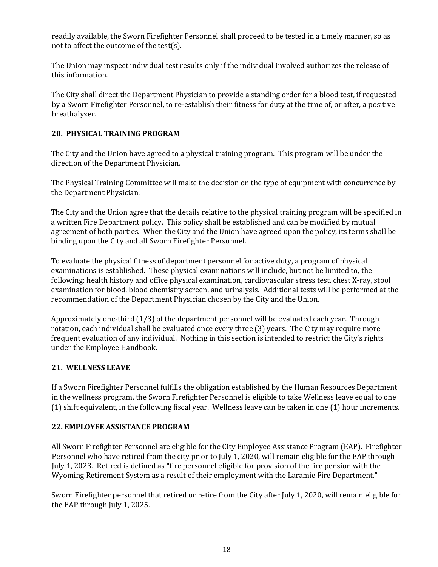readily available, the Sworn Firefighter Personnel shall proceed to be tested in a timely manner, so as not to affect the outcome of the test(s).

The Union may inspect individual test results only if the individual involved authorizes the release of this information.

The City shall direct the Department Physician to provide a standing order for a blood test, if requested by a Sworn Firefighter Personnel, to re-establish their fitness for duty at the time of, or after, a positive breathalyzer.

## <span id="page-18-0"></span>**20. PHYSICAL TRAINING PROGRAM**

The City and the Union have agreed to a physical training program. This program will be under the direction of the Department Physician.

The Physical Training Committee will make the decision on the type of equipment with concurrence by the Department Physician.

The City and the Union agree that the details relative to the physical training program will be specified in a written Fire Department policy. This policy shall be established and can be modified by mutual agreement of both parties. When the City and the Union have agreed upon the policy, its terms shall be binding upon the City and all Sworn Firefighter Personnel.

To evaluate the physical fitness of department personnel for active duty, a program of physical examinations is established. These physical examinations will include, but not be limited to, the following: health history and office physical examination, cardiovascular stress test, chest X-ray, stool examination for blood, blood chemistry screen, and urinalysis. Additional tests will be performed at the recommendation of the Department Physician chosen by the City and the Union.

Approximately one-third (1/3) of the department personnel will be evaluated each year. Through rotation, each individual shall be evaluated once every three (3) years. The City may require more frequent evaluation of any individual. Nothing in this section is intended to restrict the City's rights under the Employee Handbook.

## <span id="page-18-1"></span>**21. WELLNESS LEAVE**

If a Sworn Firefighter Personnel fulfills the obligation established by the Human Resources Department in the wellness program, the Sworn Firefighter Personnel is eligible to take Wellness leave equal to one (1) shift equivalent, in the following fiscal year. Wellness leave can be taken in one (1) hour increments.

## <span id="page-18-2"></span>**22. EMPLOYEE ASSISTANCE PROGRAM**

All Sworn Firefighter Personnel are eligible for the City Employee Assistance Program (EAP). Firefighter Personnel who have retired from the city prior to July 1, 2020, will remain eligible for the EAP through July 1, 2023. Retired is defined as "fire personnel eligible for provision of the fire pension with the Wyoming Retirement System as a result of their employment with the Laramie Fire Department."

Sworn Firefighter personnel that retired or retire from the City after July 1, 2020, will remain eligible for the EAP through July 1, 2025.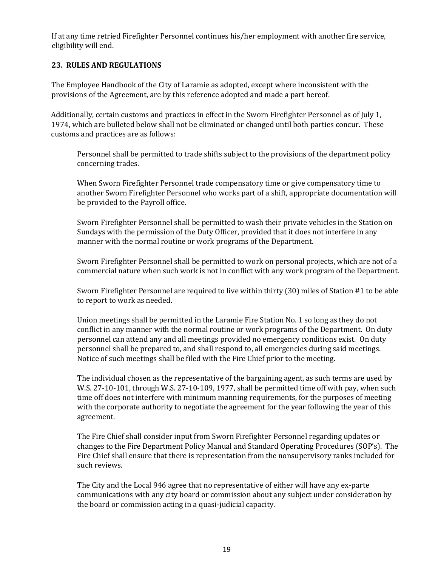If at any time retried Firefighter Personnel continues his/her employment with another fire service, eligibility will end.

## **23. RULES AND REGULATIONS**

The Employee Handbook of the City of Laramie as adopted, except where inconsistent with the provisions of the Agreement, are by this reference adopted and made a part hereof.

Additionally, certain customs and practices in effect in the Sworn Firefighter Personnel as of July 1, 1974, which are bulleted below shall not be eliminated or changed until both parties concur. These customs and practices are as follows:

Personnel shall be permitted to trade shifts subject to the provisions of the department policy concerning trades.

When Sworn Firefighter Personnel trade compensatory time or give compensatory time to another Sworn Firefighter Personnel who works part of a shift, appropriate documentation will be provided to the Payroll office.

Sworn Firefighter Personnel shall be permitted to wash their private vehicles in the Station on Sundays with the permission of the Duty Officer, provided that it does not interfere in any manner with the normal routine or work programs of the Department.

Sworn Firefighter Personnel shall be permitted to work on personal projects, which are not of a commercial nature when such work is not in conflict with any work program of the Department.

Sworn Firefighter Personnel are required to live within thirty (30) miles of Station #1 to be able to report to work as needed.

Union meetings shall be permitted in the Laramie Fire Station No. 1 so long as they do not conflict in any manner with the normal routine or work programs of the Department. On duty personnel can attend any and all meetings provided no emergency conditions exist. On duty personnel shall be prepared to, and shall respond to, all emergencies during said meetings. Notice of such meetings shall be filed with the Fire Chief prior to the meeting.

The individual chosen as the representative of the bargaining agent, as such terms are used by W.S. 27-10-101, through W.S. 27-10-109, 1977, shall be permitted time off with pay, when such time off does not interfere with minimum manning requirements, for the purposes of meeting with the corporate authority to negotiate the agreement for the year following the year of this agreement.

The Fire Chief shall consider input from Sworn Firefighter Personnel regarding updates or changes to the Fire Department Policy Manual and Standard Operating Procedures (SOP's). The Fire Chief shall ensure that there is representation from the nonsupervisory ranks included for such reviews.

The City and the Local 946 agree that no representative of either will have any ex-parte communications with any city board or commission about any subject under consideration by the board or commission acting in a quasi-judicial capacity.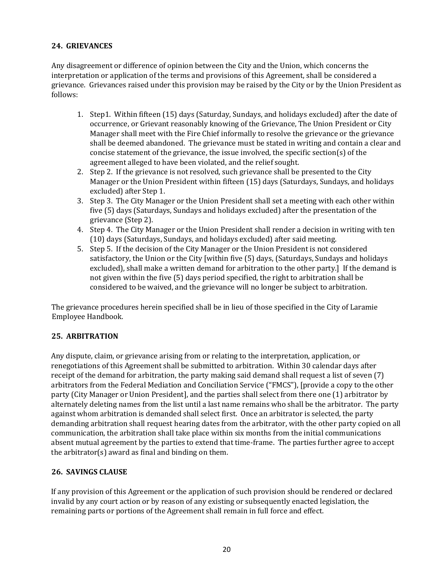## <span id="page-20-0"></span>**24. GRIEVANCES**

Any disagreement or difference of opinion between the City and the Union, which concerns the interpretation or application of the terms and provisions of this Agreement, shall be considered a grievance. Grievances raised under this provision may be raised by the City or by the Union President as follows:

- 1. Step1. Within fifteen (15) days (Saturday, Sundays, and holidays excluded) after the date of occurrence, or Grievant reasonably knowing of the Grievance, The Union President or City Manager shall meet with the Fire Chief informally to resolve the grievance or the grievance shall be deemed abandoned. The grievance must be stated in writing and contain a clear and concise statement of the grievance, the issue involved, the specific section(s) of the agreement alleged to have been violated, and the relief sought.
- 2. Step 2. If the grievance is not resolved, such grievance shall be presented to the City Manager or the Union President within fifteen (15) days (Saturdays, Sundays, and holidays excluded) after Step 1.
- 3. Step 3. The City Manager or the Union President shall set a meeting with each other within five (5) days (Saturdays, Sundays and holidays excluded) after the presentation of the grievance (Step 2).
- 4. Step 4. The City Manager or the Union President shall render a decision in writing with ten (10) days (Saturdays, Sundays, and holidays excluded) after said meeting.
- 5. Step 5. If the decision of the City Manager or the Union President is not considered satisfactory, the Union or the City [within five (5) days, (Saturdays, Sundays and holidays excluded), shall make a written demand for arbitration to the other party.] If the demand is not given within the five (5) days period specified, the right to arbitration shall be considered to be waived, and the grievance will no longer be subject to arbitration.

The grievance procedures herein specified shall be in lieu of those specified in the City of Laramie Employee Handbook.

## <span id="page-20-1"></span>**25. ARBITRATION**

Any dispute, claim, or grievance arising from or relating to the interpretation, application, or renegotiations of this Agreement shall be submitted to arbitration. Within 30 calendar days after receipt of the demand for arbitration, the party making said demand shall request a list of seven (7) arbitrators from the Federal Mediation and Conciliation Service ("FMCS"), [provide a copy to the other party (City Manager or Union President], and the parties shall select from there one (1) arbitrator by alternately deleting names from the list until a last name remains who shall be the arbitrator. The party against whom arbitration is demanded shall select first. Once an arbitrator is selected, the party demanding arbitration shall request hearing dates from the arbitrator, with the other party copied on all communication, the arbitration shall take place within six months from the initial communications absent mutual agreement by the parties to extend that time-frame. The parties further agree to accept the arbitrator(s) award as final and binding on them.

## <span id="page-20-2"></span>**26. SAVINGS CLAUSE**

If any provision of this Agreement or the application of such provision should be rendered or declared invalid by any court action or by reason of any existing or subsequently enacted legislation, the remaining parts or portions of the Agreement shall remain in full force and effect.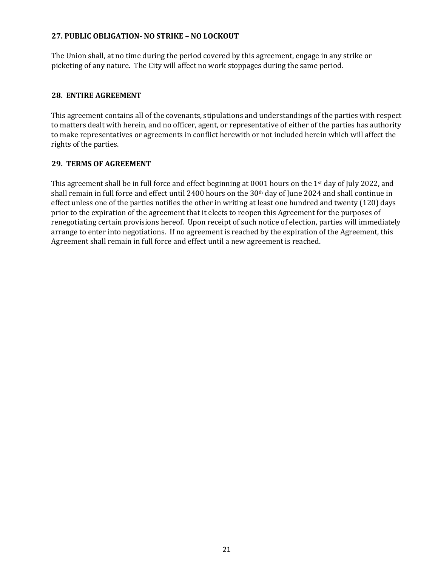#### <span id="page-21-0"></span>**27. PUBLIC OBLIGATION- NO STRIKE – NO LOCKOUT**

The Union shall, at no time during the period covered by this agreement, engage in any strike or picketing of any nature. The City will affect no work stoppages during the same period*.*

#### <span id="page-21-1"></span>**28. ENTIRE AGREEMENT**

This agreement contains all of the covenants, stipulations and understandings of the parties with respect to matters dealt with herein, and no officer, agent, or representative of either of the parties has authority to make representatives or agreements in conflict herewith or not included herein which will affect the rights of the parties.

#### <span id="page-21-2"></span>**29. TERMS OF AGREEMENT**

This agreement shall be in full force and effect beginning at 0001 hours on the 1<sup>st</sup> day of July 2022, and shall remain in full force and effect until 2400 hours on the 30<sup>th</sup> day of June 2024 and shall continue in effect unless one of the parties notifies the other in writing at least one hundred and twenty (120) days prior to the expiration of the agreement that it elects to reopen this Agreement for the purposes of renegotiating certain provisions hereof. Upon receipt of such notice of election, parties will immediately arrange to enter into negotiations. If no agreement is reached by the expiration of the Agreement, this Agreement shall remain in full force and effect until a new agreement is reached.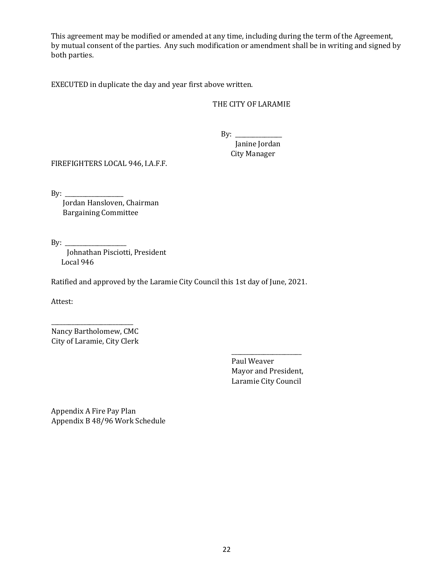This agreement may be modified or amended at any time, including during the term of the Agreement, by mutual consent of the parties. Any such modification or amendment shall be in writing and signed by both parties.

EXECUTED in duplicate the day and year first above written.

## THE CITY OF LARAMIE

 $By:$ Janine Jordan City Manager

FIREFIGHTERS LOCAL 946, I.A.F.F.

By:  $\frac{y}{y}$ 

 Jordan Hansloven, Chairman Bargaining Committee

By:  $\_\_$ 

Johnathan Pisciotti, President Local 946

Ratified and approved by the Laramie City Council this 1st day of June, 2021.

Attest:

Nancy Bartholomew, CMC City of Laramie, City Clerk

\_\_\_\_\_\_\_\_\_\_\_\_\_\_\_\_\_\_\_\_\_\_\_\_\_\_\_\_

Paul Weaver Mayor and President, Laramie City Council

\_\_\_\_\_\_\_\_\_\_\_\_\_\_\_\_\_\_\_\_\_\_\_\_

Appendix A Fire Pay Plan Appendix B 48/96 Work Schedule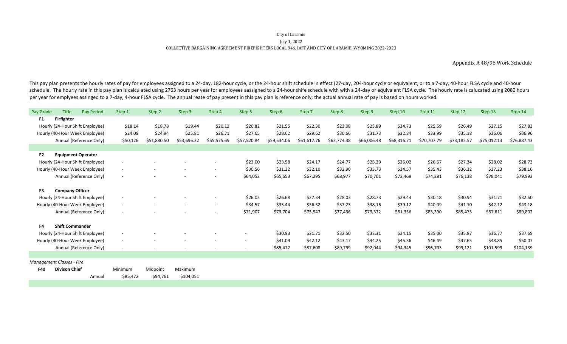#### COLLECTIVE BARGAINING AGREEMENT FIREFIGHTERS LOCAL 946, IAFF AND CITY OF LARAMIE, WYOMING 2022-2023 City of Laramie July 1, 2022

Appendix A 48/96 Work Schedule

This pay plan presents the hourly rates of pay for employees assigned to a 24-day, 182-hour cycle, or the 24-hour shift schedule in effect (27-day, 204-hour cycle or equivalent, or to a 7-day, 40-hour FLSA cycle and 40-hou schedule. The hourly rate in this pay plan is calculated using 2763 hours per year for employees aassigned to a 24-hour shife schedule with with a 24-day or equivalent FLSA cycle. The hourly rate is calucated using 2080 ho per year for emplyees assinged to a 7-day, 4-hour FLSA cycle. The annual reate of pay present in this pay plan is reference only; the actual annual rate of pay is based on hours worked.

| Pay Grade                 | <b>Title</b>              | <b>Pay Period</b>               | Step 1                   | Step 2                   | Step 3                   | Step 4                   | Step 5                   | Step 6      | Step 7      | Step 8      | Step 9      | Step 10     | Step 11     | Step 12     | Step 13     | Step 14     |
|---------------------------|---------------------------|---------------------------------|--------------------------|--------------------------|--------------------------|--------------------------|--------------------------|-------------|-------------|-------------|-------------|-------------|-------------|-------------|-------------|-------------|
| F1                        | Firfighter                |                                 |                          |                          |                          |                          |                          |             |             |             |             |             |             |             |             |             |
|                           |                           | Hourly (24-Hour Shift Employee) | \$18.14                  | \$18.78                  | \$19.44                  | \$20.12                  | \$20.82                  | \$21.55     | \$22.30     | \$23.08     | \$23.89     | \$24.73     | \$25.59     | \$26.49     | \$27.15     | \$27.83     |
|                           |                           | Hourly (40-Hour Week Employee)  | \$24.09                  | \$24.94                  | \$25.81                  | \$26.71                  | \$27.65                  | \$28.62     | \$29.62     | \$30.66     | \$31.73     | \$32.84     | \$33.99     | \$35.18     | \$36.06     | \$36.96     |
|                           |                           | Annual (Reference Only)         | \$50,126                 | \$51,880.50              | \$53,696.32              | \$55,575.69              | \$57,520.84              | \$59,534.06 | \$61,617.76 | \$63,774.38 | \$66,006.48 | \$68,316.71 | \$70,707.79 | \$73,182.57 | \$75,012.13 | \$76,887.43 |
|                           |                           |                                 |                          |                          |                          |                          |                          |             |             |             |             |             |             |             |             |             |
| F <sub>2</sub>            | <b>Equipment Operator</b> |                                 |                          |                          |                          |                          |                          |             |             |             |             |             |             |             |             |             |
|                           |                           | Hourly (24-Hour Shift Employee) | $\overline{\phantom{a}}$ |                          |                          | $\overline{\phantom{a}}$ | \$23.00                  | \$23.58     | \$24.17     | \$24.77     | \$25.39     | \$26.02     | \$26.67     | \$27.34     | \$28.02     | \$28.73     |
|                           |                           | Hourly (40-Hour Week Employee)  | $\sim$                   | $\overline{\phantom{a}}$ |                          | $\overline{\phantom{a}}$ | \$30.56                  | \$31.32     | \$32.10     | \$32.90     | \$33.73     | \$34.57     | \$35.43     | \$36.32     | \$37.23     | \$38.16     |
|                           |                           | Annual (Reference Only)         | $\sim$                   |                          |                          |                          | \$64,052                 | \$65,653    | \$67,295    | \$68,977    | \$70,701    | \$72,469    | \$74,281    | \$76,138    | \$78,041    | \$79,992    |
| F3                        | <b>Company Officer</b>    |                                 |                          |                          |                          |                          |                          |             |             |             |             |             |             |             |             |             |
|                           |                           | Hourly (24-Hour Shift Employee) | $\overline{\phantom{a}}$ |                          |                          |                          | \$26.02                  | \$26.68     | \$27.34     | \$28.03     | \$28.73     | \$29.44     | \$30.18     | \$30.94     | \$31.71     | \$32.50     |
|                           |                           |                                 |                          |                          |                          |                          | \$34.57                  |             | \$36.32     | \$37.23     |             | \$39.12     | \$40.09     |             |             |             |
|                           |                           | Hourly (40-Hour Week Employee)  | $\sim$                   |                          |                          | $\overline{\phantom{a}}$ |                          | \$35.44     |             |             | \$38.16     |             |             | \$41.10     | \$42.12     | \$43.18     |
|                           |                           | Annual (Reference Only)         |                          |                          |                          |                          | \$71,907                 | \$73,704    | \$75,547    | \$77,436    | \$79,372    | \$81,356    | \$83,390    | \$85,475    | \$87,611    | \$89,802    |
| F <sub>4</sub>            | <b>Shift Commander</b>    |                                 |                          |                          |                          |                          |                          |             |             |             |             |             |             |             |             |             |
|                           |                           | Hourly (24-Hour Shift Employee) | $\sim$                   |                          |                          |                          |                          | \$30.93     | \$31.71     | \$32.50     | \$33.31     | \$34.15     | \$35.00     | \$35.87     | \$36.77     | \$37.69     |
|                           |                           | Hourly (40-Hour Week Employee)  | $\sim$                   | $\sim$                   | $\overline{\phantom{a}}$ | $\overline{\phantom{a}}$ | $\sim$                   | \$41.09     | \$42.12     | \$43.17     | \$44.25     | \$45.36     | \$46.49     | \$47.65     | \$48.85     | \$50.07     |
|                           |                           | Annual (Reference Only)         | $\overline{\phantom{a}}$ | $\overline{\phantom{a}}$ |                          | $\overline{\phantom{a}}$ | $\overline{\phantom{a}}$ | \$85,472    | \$87,608    | \$89,799    | \$92,044    | \$94,345    | \$96,703    | \$99,121    | \$101,599   | \$104,139   |
|                           |                           |                                 |                          |                          |                          |                          |                          |             |             |             |             |             |             |             |             |             |
| Management Classes - Fire |                           |                                 |                          |                          |                          |                          |                          |             |             |             |             |             |             |             |             |             |
| <b>F40</b>                | <b>Divison Chief</b>      |                                 | Minimum                  | Midpoint                 | Maximum                  |                          |                          |             |             |             |             |             |             |             |             |             |
|                           |                           | Annual                          | \$85,472                 | \$94,761                 | \$104,051                |                          |                          |             |             |             |             |             |             |             |             |             |